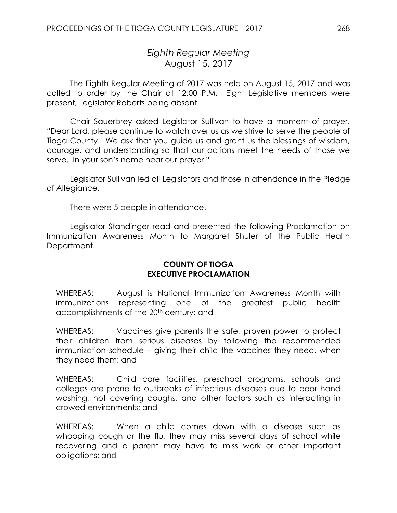# *Eighth Regular Meeting* August 15, 2017

The Eighth Regular Meeting of 2017 was held on August 15, 2017 and was called to order by the Chair at 12:00 P.M. Eight Legislative members were present, Legislator Roberts being absent.

Chair Sauerbrey asked Legislator Sullivan to have a moment of prayer. "Dear Lord, please continue to watch over us as we strive to serve the people of Tioga County. We ask that you guide us and grant us the blessings of wisdom, courage, and understanding so that our actions meet the needs of those we serve. In your son's name hear our prayer."

Legislator Sullivan led all Legislators and those in attendance in the Pledge of Allegiance.

There were 5 people in attendance.

Legislator Standinger read and presented the following Proclamation on Immunization Awareness Month to Margaret Shuler of the Public Health Department.

### **COUNTY OF TIOGA EXECUTIVE PROCLAMATION**

WHEREAS: August is National Immunization Awareness Month with immunizations representing one of the greatest public health accomplishments of the 20<sup>th</sup> century; and

WHEREAS: Vaccines give parents the safe, proven power to protect their children from serious diseases by following the recommended immunization schedule – giving their child the vaccines they need, when they need them; and

WHEREAS: Child care facilities, preschool programs, schools and colleges are prone to outbreaks of infectious diseases due to poor hand washing, not covering coughs, and other factors such as interacting in crowed environments; and

WHEREAS: When a child comes down with a disease such as whooping cough or the flu, they may miss several days of school while recovering and a parent may have to miss work or other important obligations; and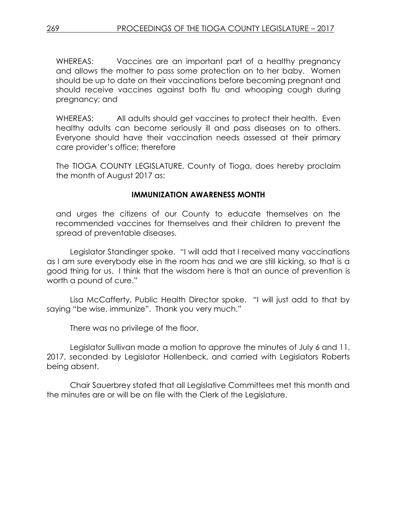WHEREAS: Vaccines are an important part of a healthy pregnancy and allows the mother to pass some protection on to her baby. Women should be up to date on their vaccinations before becoming pregnant and should receive vaccines against both flu and whooping cough during pregnancy; and

WHEREAS: All adults should get vaccines to protect their health. Even healthy adults can become seriously ill and pass diseases on to others. Everyone should have their vaccination needs assessed at their primary care provider's office; therefore

The TIOGA COUNTY LEGISLATURE, County of Tioga, does hereby proclaim the month of August 2017 as:

### **IMMUNIZATION AWARENESS MONTH**

and urges the citizens of our County to educate themselves on the recommended vaccines for themselves and their children to prevent the spread of preventable diseases.

Legislator Standinger spoke. "I will add that I received many vaccinations as I am sure everybody else in the room has and we are still kicking, so that is a good thing for us. I think that the wisdom here is that an ounce of prevention is worth a pound of cure."

Lisa McCafferty, Public Health Director spoke. "I will just add to that by saying "be wise, immunize". Thank you very much."

There was no privilege of the floor.

Legislator Sullivan made a motion to approve the minutes of July 6 and 11, 2017, seconded by Legislator Hollenbeck, and carried with Legislators Roberts being absent.

Chair Sauerbrey stated that all Legislative Committees met this month and the minutes are or will be on file with the Clerk of the Legislature.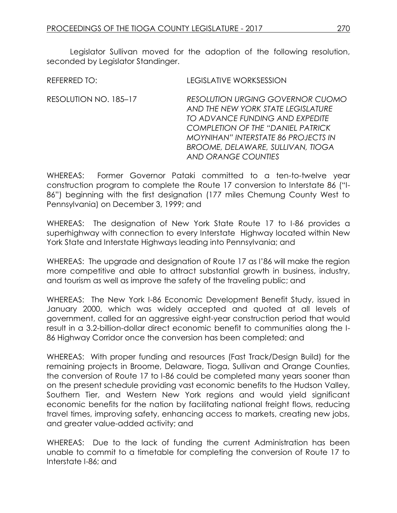REFERRED TO: LEGISLATIVE WORKSESSION

Legislator Sullivan moved for the adoption of the following resolution, seconded by Legislator Standinger.

| <b>RESOLUTION URGING GOVERNOR CUOMO</b>    |
|--------------------------------------------|
| AND THE NEW YORK STATE LEGISLATURE         |
| TO ADVANCE FUNDING AND EXPEDITE            |
| <b>COMPLETION OF THE "DANIEL PATRICK"</b>  |
| <b>MOYNIHAN" INTERSTATE 86 PROJECTS IN</b> |
| BROOME, DELAWARE, SULLIVAN, TIOGA          |
| <b>AND ORANGE COUNTIES</b>                 |
|                                            |

WHEREAS: Former Governor Pataki committed to a ten-to-twelve year construction program to complete the Route 17 conversion to Interstate 86 ("I-86") beginning with the first designation (177 miles Chemung County West to Pennsylvania) on December 3, 1999; and

WHEREAS: The designation of New York State Route 17 to I-86 provides a superhighway with connection to every Interstate Highway located within New York State and Interstate Highways leading into Pennsylvania; and

WHEREAS: The upgrade and designation of Route 17 as I'86 will make the region more competitive and able to attract substantial growth in business, industry, and tourism as well as improve the safety of the traveling public; and

WHEREAS: The New York I-86 Economic Development Benefit Study, issued in January 2000, which was widely accepted and quoted at all levels of government, called for an aggressive eight-year construction period that would result in a 3.2-billion-dollar direct economic benefit to communities along the I-86 Highway Corridor once the conversion has been completed; and

WHEREAS: With proper funding and resources (Fast Track/Design Build) for the remaining projects in Broome, Delaware, Tioga, Sullivan and Orange Counties, the conversion of Route 17 to I-86 could be completed many years sooner than on the present schedule providing vast economic benefits to the Hudson Valley, Southern Tier, and Western New York regions and would yield significant economic benefits for the nation by facilitating national freight flows, reducing travel times, improving safety, enhancing access to markets, creating new jobs, and greater value-added activity; and

WHEREAS: Due to the lack of funding the current Administration has been unable to commit to a timetable for completing the conversion of Route 17 to Interstate I-86; and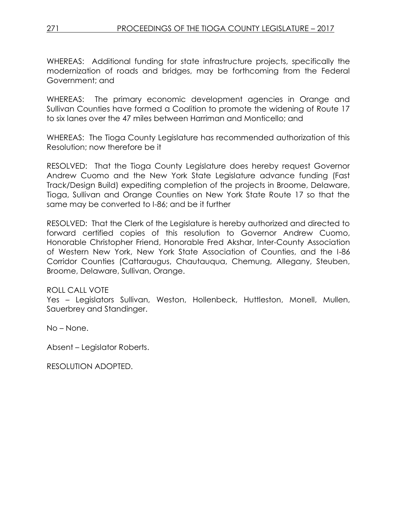WHEREAS: Additional funding for state infrastructure projects, specifically the modernization of roads and bridges, may be forthcoming from the Federal Government; and

WHEREAS: The primary economic development agencies in Orange and Sullivan Counties have formed a Coalition to promote the widening of Route 17 to six lanes over the 47 miles between Harriman and Monticello; and

WHEREAS: The Tioga County Legislature has recommended authorization of this Resolution; now therefore be it

RESOLVED: That the Tioga County Legislature does hereby request Governor Andrew Cuomo and the New York State Legislature advance funding (Fast Track/Design Build) expediting completion of the projects in Broome, Delaware, Tioga, Sullivan and Orange Counties on New York State Route 17 so that the same may be converted to I-86; and be it further

RESOLVED: That the Clerk of the Legislature is hereby authorized and directed to forward certified copies of this resolution to Governor Andrew Cuomo, Honorable Christopher Friend, Honorable Fred Akshar, Inter-County Association of Western New York, New York State Association of Counties, and the I-86 Corridor Counties (Cattaraugus, Chautauqua, Chemung, Allegany, Steuben, Broome, Delaware, Sullivan, Orange.

### ROLL CALL VOTE

Yes – Legislators Sullivan, Weston, Hollenbeck, Huttleston, Monell, Mullen, Sauerbrey and Standinger.

No – None.

Absent – Legislator Roberts.

RESOLUTION ADOPTED.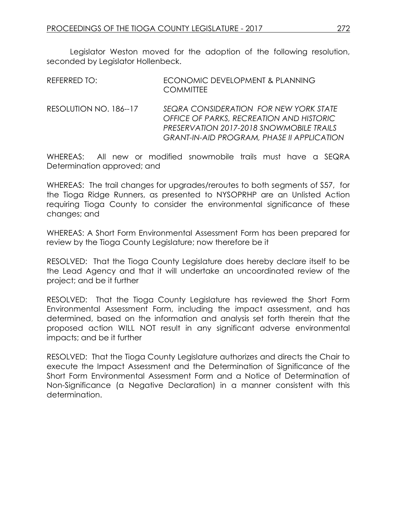Legislator Weston moved for the adoption of the following resolution, seconded by Legislator Hollenbeck.

| REFERRED TO:           | ECONOMIC DEVELOPMENT & PLANNING<br><b>COMMITTEE</b> |
|------------------------|-----------------------------------------------------|
| RESOLUTION NO. 186--17 | SEQRA CONSIDERATION FOR NEW YORK STATE              |

*OFFICE OF PARKS, RECREATION AND HISTORIC PRESERVATION 2017-2018 SNOWMOBILE TRAILS GRANT-IN-AID PROGRAM, PHASE II APPLICATION*

WHEREAS: All new or modified snowmobile trails must have a SEQRA Determination approved; and

WHEREAS: The trail changes for upgrades/reroutes to both segments of S57, for the Tioga Ridge Runners, as presented to NYSOPRHP are an Unlisted Action requiring Tioga County to consider the environmental significance of these changes; and

WHEREAS: A Short Form Environmental Assessment Form has been prepared for review by the Tioga County Legislature; now therefore be it

RESOLVED: That the Tioga County Legislature does hereby declare itself to be the Lead Agency and that it will undertake an uncoordinated review of the project; and be it further

RESOLVED: That the Tioga County Legislature has reviewed the Short Form Environmental Assessment Form, including the impact assessment, and has determined, based on the information and analysis set forth therein that the proposed action WILL NOT result in any significant adverse environmental impacts; and be it further

RESOLVED: That the Tioga County Legislature authorizes and directs the Chair to execute the Impact Assessment and the Determination of Significance of the Short Form Environmental Assessment Form and a Notice of Determination of Non-Significance (a Negative Declaration) in a manner consistent with this determination.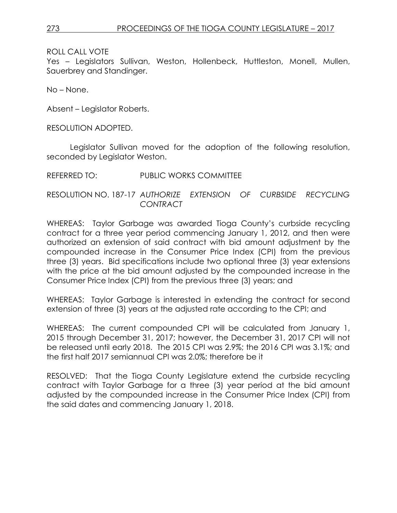Yes – Legislators Sullivan, Weston, Hollenbeck, Huttleston, Monell, Mullen, Sauerbrey and Standinger.

No – None.

Absent – Legislator Roberts.

RESOLUTION ADOPTED.

Legislator Sullivan moved for the adoption of the following resolution, seconded by Legislator Weston.

REFERRED TO: PUBLIC WORKS COMMITTEE

RESOLUTION NO. 187-17 *AUTHORIZE EXTENSION OF CURBSIDE RECYCLING CONTRACT*

WHEREAS: Taylor Garbage was awarded Tioga County's curbside recycling contract for a three year period commencing January 1, 2012, and then were authorized an extension of said contract with bid amount adjustment by the compounded increase in the Consumer Price Index (CPI) from the previous three (3) years. Bid specifications include two optional three (3) year extensions with the price at the bid amount adjusted by the compounded increase in the Consumer Price Index (CPI) from the previous three (3) years; and

WHEREAS: Taylor Garbage is interested in extending the contract for second extension of three (3) years at the adjusted rate according to the CPI; and

WHEREAS: The current compounded CPI will be calculated from January 1, 2015 through December 31, 2017; however, the December 31, 2017 CPI will not be released until early 2018. The 2015 CPI was 2.9%; the 2016 CPI was 3.1%; and the first half 2017 semiannual CPI was 2.0%; therefore be it

RESOLVED: That the Tioga County Legislature extend the curbside recycling contract with Taylor Garbage for a three (3) year period at the bid amount adjusted by the compounded increase in the Consumer Price Index (CPI) from the said dates and commencing January 1, 2018.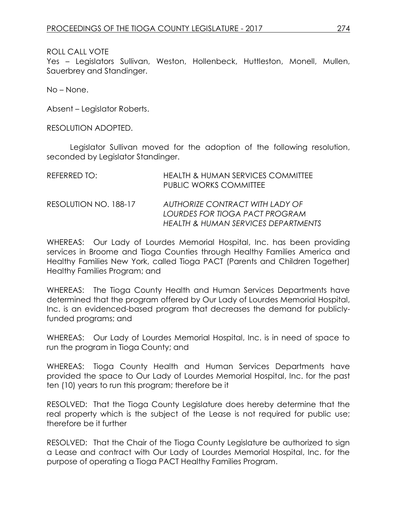Yes – Legislators Sullivan, Weston, Hollenbeck, Huttleston, Monell, Mullen, Sauerbrey and Standinger.

No – None.

Absent – Legislator Roberts.

RESOLUTION ADOPTED.

Legislator Sullivan moved for the adoption of the following resolution, seconded by Legislator Standinger.

| REFERRED TO:          | <b>HEALTH &amp; HUMAN SERVICES COMMITTEE</b><br><b>PUBLIC WORKS COMMITTEE</b>                            |
|-----------------------|----------------------------------------------------------------------------------------------------------|
| RESOLUTION NO. 188-17 | AUTHORIZE CONTRACT WITH LADY OF<br>LOURDES FOR TIOGA PACT PROGRAM<br>HEALTH & HUMAN SERVICES DEPARTMENTS |

WHEREAS: Our Lady of Lourdes Memorial Hospital, Inc. has been providing services in Broome and Tioga Counties through Healthy Families America and Healthy Families New York, called Tioga PACT (Parents and Children Together) Healthy Families Program; and

WHEREAS: The Tioga County Health and Human Services Departments have determined that the program offered by Our Lady of Lourdes Memorial Hospital, Inc. is an evidenced-based program that decreases the demand for publiclyfunded programs; and

WHEREAS: Our Lady of Lourdes Memorial Hospital, Inc. is in need of space to run the program in Tioga County; and

WHEREAS: Tioga County Health and Human Services Departments have provided the space to Our Lady of Lourdes Memorial Hospital, Inc. for the past ten (10) years to run this program; therefore be it

RESOLVED: That the Tioga County Legislature does hereby determine that the real property which is the subject of the Lease is not required for public use; therefore be it further

RESOLVED: That the Chair of the Tioga County Legislature be authorized to sign a Lease and contract with Our Lady of Lourdes Memorial Hospital, Inc. for the purpose of operating a Tioga PACT Healthy Families Program.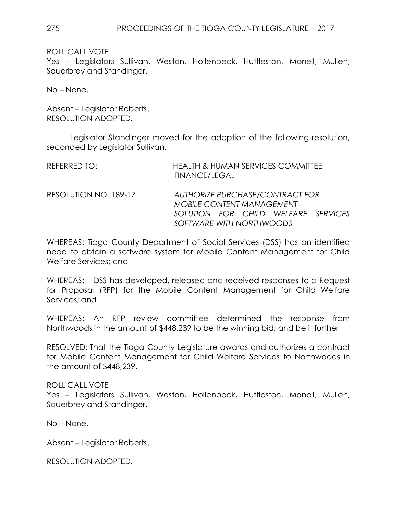Yes – Legislators Sullivan, Weston, Hollenbeck, Huttleston, Monell, Mullen, Sauerbrey and Standinger.

No – None.

Absent – Legislator Roberts. RESOLUTION ADOPTED.

Legislator Standinger moved for the adoption of the following resolution, seconded by Legislator Sullivan.

| REFERRED TO:          | <b>HEALTH &amp; HUMAN SERVICES COMMITTEE</b><br>FINANCE/LEGAL       |
|-----------------------|---------------------------------------------------------------------|
| RESOLUTION NO. 189-17 | AUTHORIZE PURCHASE/CONTRACT FOR<br><b>MOBILE CONTENT MANAGEMENT</b> |
|                       | SOLUTION FOR CHILD WELFARE SERVICES                                 |
|                       | SOFTWARE WITH NORTHWOODS                                            |

WHEREAS: Tioga County Department of Social Services (DSS) has an identified need to obtain a software system for Mobile Content Management for Child Welfare Services; and

WHEREAS: DSS has developed, released and received responses to a Request for Proposal (RFP) for the Mobile Content Management for Child Welfare Services; and

WHEREAS: An RFP review committee determined the response from Northwoods in the amount of \$448,239 to be the winning bid; and be it further

RESOLVED: That the Tioga County Legislature awards and authorizes a contract for Mobile Content Management for Child Welfare Services to Northwoods in the amount of \$448,239.

#### ROLL CALL VOTE

Yes – Legislators Sullivan, Weston, Hollenbeck, Huttleston, Monell, Mullen, Sauerbrey and Standinger.

No – None.

Absent – Legislator Roberts.

RESOLUTION ADOPTED.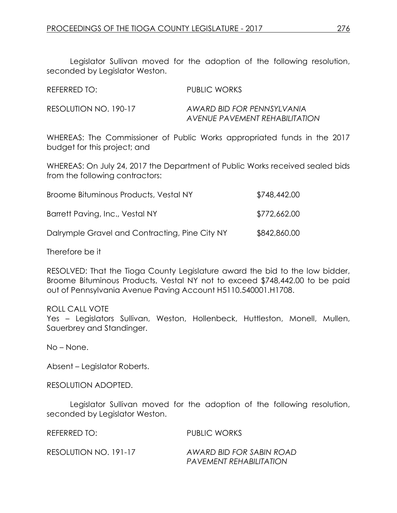Legislator Sullivan moved for the adoption of the following resolution, seconded by Legislator Weston.

| REFERRED TO:          | PUBLIC WORKS                                                 |
|-----------------------|--------------------------------------------------------------|
| RESOLUTION NO. 190-17 | AWARD BID FOR PENNSYLVANIA<br>AVENUE PAVEMENT REHABILITATION |

WHEREAS: The Commissioner of Public Works appropriated funds in the 2017 budget for this project; and

WHEREAS: On July 24, 2017 the Department of Public Works received sealed bids from the following contractors:

| Broome Bituminous Products, Vestal NY          | \$748,442.00 |
|------------------------------------------------|--------------|
| Barrett Paving, Inc., Vestal NY                | \$772,662.00 |
| Dalrymple Gravel and Contracting, Pine City NY | \$842,860.00 |

Therefore be it

RESOLVED: That the Tioga County Legislature award the bid to the low bidder, Broome Bituminous Products, Vestal NY not to exceed \$748,442.00 to be paid out of Pennsylvania Avenue Paving Account H5110.540001.H1708.

### ROLL CALL VOTE

Yes – Legislators Sullivan, Weston, Hollenbeck, Huttleston, Monell, Mullen, Sauerbrey and Standinger.

No – None.

Absent – Legislator Roberts.

RESOLUTION ADOPTED.

Legislator Sullivan moved for the adoption of the following resolution, seconded by Legislator Weston.

REFERRED TO: PUBLIC WORKS RESOLUTION NO. 191-17 *AWARD BID FOR SABIN ROAD PAVEMENT REHABILITATION*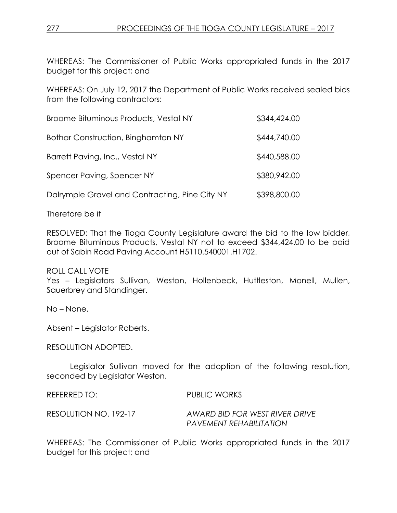WHEREAS: The Commissioner of Public Works appropriated funds in the 2017 budget for this project; and

WHEREAS: On July 12, 2017 the Department of Public Works received sealed bids from the following contractors:

| Broome Bituminous Products, Vestal NY          | \$344,424.00 |
|------------------------------------------------|--------------|
| <b>Bothar Construction, Binghamton NY</b>      | \$444,740.00 |
| Barrett Paving, Inc., Vestal NY                | \$440,588.00 |
| Spencer Paving, Spencer NY                     | \$380,942.00 |
| Dalrymple Gravel and Contracting, Pine City NY | \$398,800.00 |

Therefore be it

RESOLVED: That the Tioga County Legislature award the bid to the low bidder, Broome Bituminous Products, Vestal NY not to exceed \$344,424.00 to be paid out of Sabin Road Paving Account H5110.540001.H1702.

ROLL CALL VOTE Yes – Legislators Sullivan, Weston, Hollenbeck, Huttleston, Monell, Mullen, Sauerbrey and Standinger.

No – None.

Absent – Legislator Roberts.

RESOLUTION ADOPTED.

Legislator Sullivan moved for the adoption of the following resolution, seconded by Legislator Weston.

REFERRED TO: PUBLIC WORKS RESOLUTION NO. 192-17 *AWARD BID FOR WEST RIVER DRIVE PAVEMENT REHABILITATION* 

WHEREAS: The Commissioner of Public Works appropriated funds in the 2017 budget for this project; and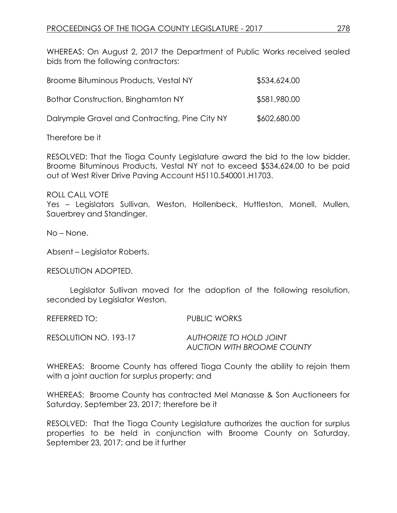WHEREAS: On August 2, 2017 the Department of Public Works received sealed bids from the following contractors:

| Broome Bituminous Products, Vestal NY          | \$534,624.00 |
|------------------------------------------------|--------------|
| Bothar Construction, Binghamton NY             | \$581,980.00 |
| Dalrymple Gravel and Contracting, Pine City NY | \$602,680.00 |

Therefore be it

RESOLVED: That the Tioga County Legislature award the bid to the low bidder, Broome Bituminous Products, Vestal NY not to exceed \$534,624.00 to be paid out of West River Drive Paving Account H5110.540001.H1703.

ROLL CALL VOTE

Yes – Legislators Sullivan, Weston, Hollenbeck, Huttleston, Monell, Mullen, Sauerbrey and Standinger.

No – None.

Absent – Legislator Roberts.

RESOLUTION ADOPTED.

Legislator Sullivan moved for the adoption of the following resolution, seconded by Legislator Weston.

REFERRED TO: PUBLIC WORKS

RESOLUTION NO. 193-17 *AUTHORIZE TO HOLD JOINT AUCTION WITH BROOME COUNTY*

WHEREAS: Broome County has offered Tioga County the ability to rejoin them with a joint auction for surplus property; and

WHEREAS: Broome County has contracted Mel Manasse & Son Auctioneers for Saturday, September 23, 2017; therefore be it

RESOLVED: That the Tioga County Legislature authorizes the auction for surplus properties to be held in conjunction with Broome County on Saturday, September 23, 2017; and be it further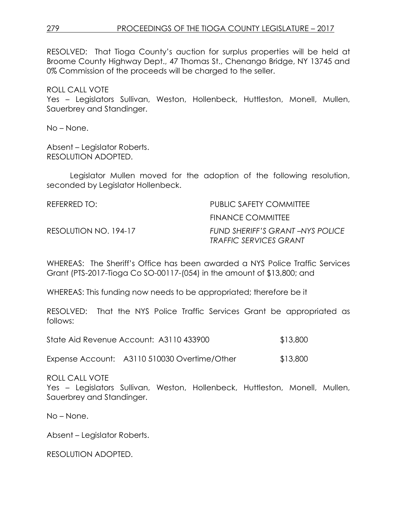## 279 PROCEEDINGS OF THE TIOGA COUNTY LEGISLATURE – 2017

RESOLVED: That Tioga County's auction for surplus properties will be held at Broome County Highway Dept., 47 Thomas St., Chenango Bridge, NY 13745 and 0% Commission of the proceeds will be charged to the seller.

ROLL CALL VOTE Yes – Legislators Sullivan, Weston, Hollenbeck, Huttleston, Monell, Mullen, Sauerbrey and Standinger.

No – None.

Absent – Legislator Roberts. RESOLUTION ADOPTED.

Legislator Mullen moved for the adoption of the following resolution, seconded by Legislator Hollenbeck.

| REFERRED TO:          | PUBLIC SAFETY COMMITTEE                                                 |
|-----------------------|-------------------------------------------------------------------------|
|                       | FINANCE COMMITTEE                                                       |
| RESOLUTION NO. 194-17 | <b>FUND SHERIFF'S GRANT-NYS POLICE</b><br><b>TRAFFIC SERVICES GRANT</b> |

WHEREAS: The Sheriff's Office has been awarded a NYS Police Traffic Services Grant (PTS-2017-Tioga Co SO-00117-(054) in the amount of \$13,800; and

WHEREAS: This funding now needs to be appropriated; therefore be it

RESOLVED: That the NYS Police Traffic Services Grant be appropriated as follows:

| State Aid Revenue Account: A3110 433900 | \$13,800 |
|-----------------------------------------|----------|
|-----------------------------------------|----------|

Expense Account: A3110 510030 Overtime/Other \$13,800

ROLL CALL VOTE

Yes – Legislators Sullivan, Weston, Hollenbeck, Huttleston, Monell, Mullen, Sauerbrey and Standinger.

No – None.

Absent – Legislator Roberts.

RESOLUTION ADOPTED.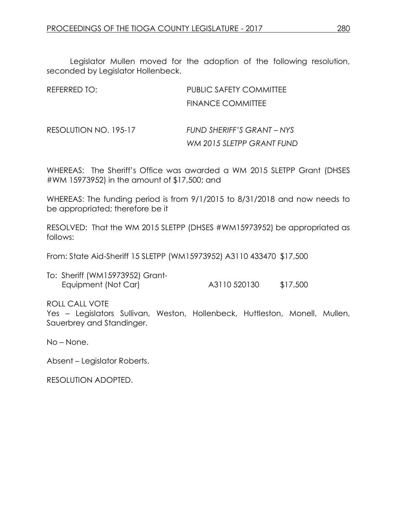Legislator Mullen moved for the adoption of the following resolution, seconded by Legislator Hollenbeck.

| REFERRED TO:          | <b>PUBLIC SAFETY COMMITTEE</b>                          |
|-----------------------|---------------------------------------------------------|
|                       | <b>FINANCE COMMITTEE</b>                                |
| RESOLUTION NO. 195-17 | FUND SHERIFF'S GRANT - NYS<br>WM 2015 SLETPP GRANT FUND |

WHEREAS: The Sheriff's Office was awarded a WM 2015 SLETPP Grant (DHSES #WM 15973952) in the amount of \$17,500; and

WHEREAS: The funding period is from 9/1/2015 to 8/31/2018 and now needs to be appropriated; therefore be it

RESOLVED: That the WM 2015 SLETPP (DHSES #WM15973952) be appropriated as follows:

From: State Aid-Sheriff 15 SLETPP (WM15973952) A3110 433470 \$17,500

| To: Sheriff (WM15973952) Grant- |              |          |
|---------------------------------|--------------|----------|
| Equipment (Not Car)             | A3110 520130 | \$17,500 |

ROLL CALL VOTE

Yes – Legislators Sullivan, Weston, Hollenbeck, Huttleston, Monell, Mullen, Sauerbrey and Standinger.

No – None.

Absent – Legislator Roberts.

RESOLUTION ADOPTED.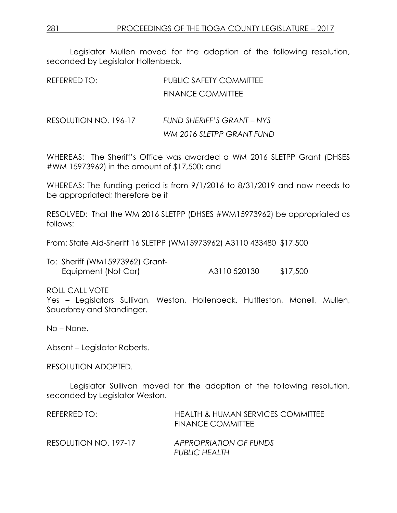Legislator Mullen moved for the adoption of the following resolution, seconded by Legislator Hollenbeck.

| REFERRED TO:          | <b>PUBLIC SAFETY COMMITTEE</b> |  |  |
|-----------------------|--------------------------------|--|--|
|                       | <b>FINANCE COMMITTEE</b>       |  |  |
|                       |                                |  |  |
| RESOLUTION NO. 196-17 | FUND SHERIFF'S GRANT - NYS     |  |  |
|                       | WM 2016 SLETPP GRANT FUND      |  |  |
|                       |                                |  |  |

WHEREAS: The Sheriff's Office was awarded a WM 2016 SLETPP Grant (DHSES #WM 15973962) in the amount of \$17,500; and

WHEREAS: The funding period is from 9/1/2016 to 8/31/2019 and now needs to be appropriated; therefore be it

RESOLVED: That the WM 2016 SLETPP (DHSES #WM15973962) be appropriated as follows:

From: State Aid-Sheriff 16 SLETPP (WM15973962) A3110 433480 \$17,500

| To: Sheriff (WM15973962) Grant- |  |              |  |          |
|---------------------------------|--|--------------|--|----------|
| Equipment (Not Car)             |  | A3110 520130 |  | \$17,500 |

ROLL CALL VOTE

Yes – Legislators Sullivan, Weston, Hollenbeck, Huttleston, Monell, Mullen, Sauerbrey and Standinger.

No – None.

Absent – Legislator Roberts.

RESOLUTION ADOPTED.

Legislator Sullivan moved for the adoption of the following resolution, seconded by Legislator Weston.

| REFERRED TO:          | HEALTH & HUMAN SERVICES COMMITTEE<br><b>FINANCE COMMITTEE</b> |
|-----------------------|---------------------------------------------------------------|
| RESOLUTION NO. 197-17 | APPROPRIATION OF FUNDS<br>PUBLIC HEALTH                       |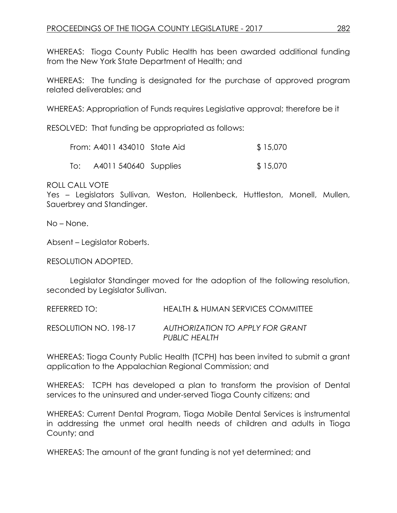WHEREAS: Tioga County Public Health has been awarded additional funding from the New York State Department of Health; and

WHEREAS: The funding is designated for the purchase of approved program related deliverables; and

WHEREAS: Appropriation of Funds requires Legislative approval; therefore be it

RESOLVED: That funding be appropriated as follows:

|     | From: A4011 434010 State Aid | \$15,070 |
|-----|------------------------------|----------|
| To: | A4011 540640 Supplies        | \$15,070 |

ROLL CALL VOTE

Yes - Legislators Sullivan, Weston, Hollenbeck, Huttleston, Monell, Mullen, Sauerbrey and Standinger.

No – None.

Absent – Legislator Roberts.

RESOLUTION ADOPTED.

Legislator Standinger moved for the adoption of the following resolution, seconded by Legislator Sullivan.

REFERRED TO: HEALTH & HUMAN SERVICES COMMITTEE RESOLUTION NO. 198-17 *AUTHORIZATION TO APPLY FOR GRANT PUBLIC HEALTH*

WHEREAS: Tioga County Public Health (TCPH) has been invited to submit a grant application to the Appalachian Regional Commission; and

WHEREAS: TCPH has developed a plan to transform the provision of Dental services to the uninsured and under-served Tioga County citizens; and

WHEREAS: Current Dental Program, Tioga Mobile Dental Services is instrumental in addressing the unmet oral health needs of children and adults in Tioga County; and

WHEREAS: The amount of the grant funding is not yet determined; and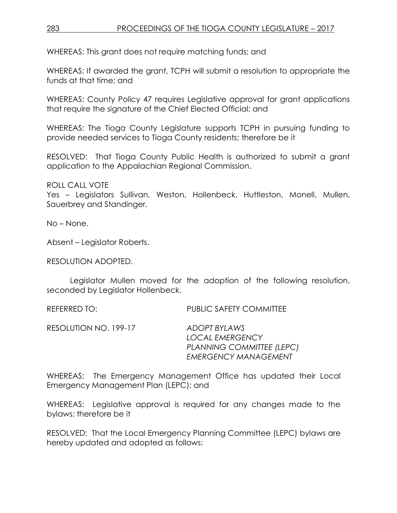WHEREAS: This grant does not require matching funds; and

WHEREAS: If awarded the grant, TCPH will submit a resolution to appropriate the funds at that time; and

WHEREAS: County Policy 47 requires Legislative approval for grant applications that require the signature of the Chief Elected Official; and

WHEREAS: The Tioga County Legislature supports TCPH in pursuing funding to provide needed services to Tioga County residents; therefore be it

RESOLVED: That Tioga County Public Health is authorized to submit a grant application to the Appalachian Regional Commission.

ROLL CALL VOTE

Yes – Legislators Sullivan, Weston, Hollenbeck, Huttleston, Monell, Mullen, Sauerbrey and Standinger.

No – None.

Absent – Legislator Roberts.

RESOLUTION ADOPTED.

Legislator Mullen moved for the adoption of the following resolution, seconded by Legislator Hollenbeck.

REFERRED TO: PUBLIC SAFETY COMMITTEE

RESOLUTION NO. 199-17 *ADOPT BYLAWS* 

*LOCAL EMERGENCY PLANNING COMMITTEE (LEPC) EMERGENCY MANAGEMENT*

WHEREAS: The Emergency Management Office has updated their Local Emergency Management Plan (LEPC); and

WHEREAS: Legislative approval is required for any changes made to the bylaws; therefore be it

RESOLVED: That the Local Emergency Planning Committee (LEPC) bylaws are hereby updated and adopted as follows: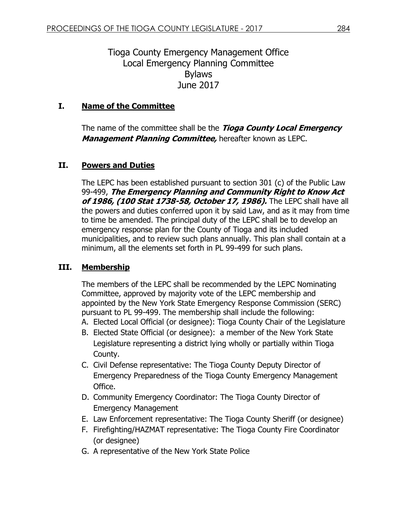# Tioga County Emergency Management Office Local Emergency Planning Committee Bylaws June 2017

## **I. Name of the Committee**

The name of the committee shall be the **Tioga County Local Emergency Management Planning Committee,** hereafter known as LEPC.

## **II. Powers and Duties**

The LEPC has been established pursuant to section 301 (c) of the Public Law 99-499, **The Emergency Planning and Community Right to Know Act of 1986, (100 Stat 1738-58, October 17, 1986).** The LEPC shall have all the powers and duties conferred upon it by said Law, and as it may from time to time be amended. The principal duty of the LEPC shall be to develop an emergency response plan for the County of Tioga and its included municipalities, and to review such plans annually. This plan shall contain at a minimum, all the elements set forth in PL 99-499 for such plans.

## **III. Membership**

The members of the LEPC shall be recommended by the LEPC Nominating Committee, approved by majority vote of the LEPC membership and appointed by the New York State Emergency Response Commission (SERC) pursuant to PL 99-499. The membership shall include the following:

- A. Elected Local Official (or designee): Tioga County Chair of the Legislature
- B. Elected State Official (or designee): a member of the New York State Legislature representing a district lying wholly or partially within Tioga County.
- C. Civil Defense representative: The Tioga County Deputy Director of Emergency Preparedness of the Tioga County Emergency Management Office.
- D. Community Emergency Coordinator: The Tioga County Director of Emergency Management
- E. Law Enforcement representative: The Tioga County Sheriff (or designee)
- F. Firefighting/HAZMAT representative: The Tioga County Fire Coordinator (or designee)
- G. A representative of the New York State Police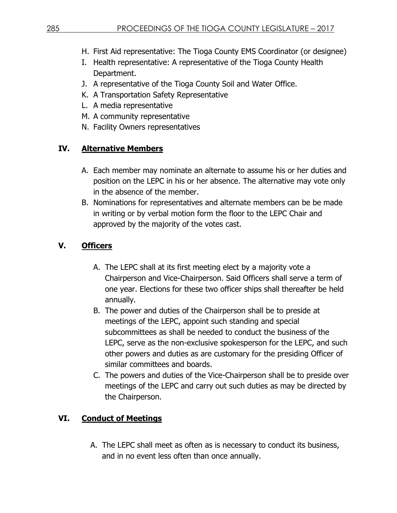- H. First Aid representative: The Tioga County EMS Coordinator (or designee)
- I. Health representative: A representative of the Tioga County Health Department.
- J. A representative of the Tioga County Soil and Water Office.
- K. A Transportation Safety Representative
- L. A media representative
- M. A community representative
- N. Facility Owners representatives

## **IV. Alternative Members**

- A. Each member may nominate an alternate to assume his or her duties and position on the LEPC in his or her absence. The alternative may vote only in the absence of the member.
- B. Nominations for representatives and alternate members can be be made in writing or by verbal motion form the floor to the LEPC Chair and approved by the majority of the votes cast.

# **V. Officers**

- A. The LEPC shall at its first meeting elect by a majority vote a Chairperson and Vice-Chairperson. Said Officers shall serve a term of one year. Elections for these two officer ships shall thereafter be held annually.
- B. The power and duties of the Chairperson shall be to preside at meetings of the LEPC, appoint such standing and special subcommittees as shall be needed to conduct the business of the LEPC, serve as the non-exclusive spokesperson for the LEPC, and such other powers and duties as are customary for the presiding Officer of similar committees and boards.
- C. The powers and duties of the Vice-Chairperson shall be to preside over meetings of the LEPC and carry out such duties as may be directed by the Chairperson.

## **VI. Conduct of Meetings**

A. The LEPC shall meet as often as is necessary to conduct its business, and in no event less often than once annually.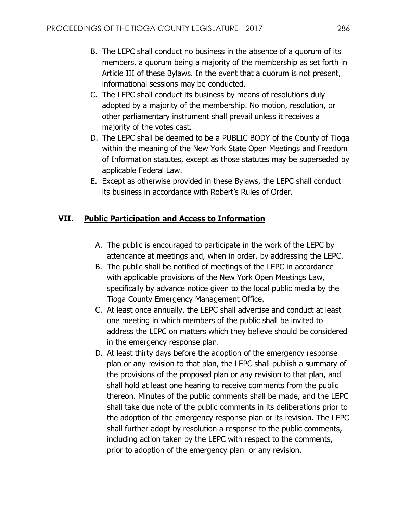- B. The LEPC shall conduct no business in the absence of a quorum of its members, a quorum being a majority of the membership as set forth in Article III of these Bylaws. In the event that a quorum is not present, informational sessions may be conducted.
- C. The LEPC shall conduct its business by means of resolutions duly adopted by a majority of the membership. No motion, resolution, or other parliamentary instrument shall prevail unless it receives a majority of the votes cast.
- D. The LEPC shall be deemed to be a PUBLIC BODY of the County of Tioga within the meaning of the New York State Open Meetings and Freedom of Information statutes, except as those statutes may be superseded by applicable Federal Law.
- E. Except as otherwise provided in these Bylaws, the LEPC shall conduct its business in accordance with Robert's Rules of Order.

# **VII. Public Participation and Access to Information**

- A. The public is encouraged to participate in the work of the LEPC by attendance at meetings and, when in order, by addressing the LEPC.
- B. The public shall be notified of meetings of the LEPC in accordance with applicable provisions of the New York Open Meetings Law, specifically by advance notice given to the local public media by the Tioga County Emergency Management Office.
- C. At least once annually, the LEPC shall advertise and conduct at least one meeting in which members of the public shall be invited to address the LEPC on matters which they believe should be considered in the emergency response plan.
- D. At least thirty days before the adoption of the emergency response plan or any revision to that plan, the LEPC shall publish a summary of the provisions of the proposed plan or any revision to that plan, and shall hold at least one hearing to receive comments from the public thereon. Minutes of the public comments shall be made, and the LEPC shall take due note of the public comments in its deliberations prior to the adoption of the emergency response plan or its revision. The LEPC shall further adopt by resolution a response to the public comments, including action taken by the LEPC with respect to the comments, prior to adoption of the emergency plan or any revision.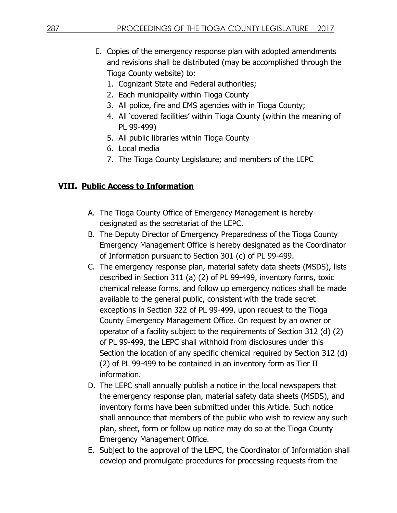- E. Copies of the emergency response plan with adopted amendments and revisions shall be distributed (may be accomplished through the Tioga County website) to:
	- 1. Cognizant State and Federal authorities;
	- 2. Each municipality within Tioga County
	- 3. All police, fire and EMS agencies with in Tioga County;
	- 4. All 'covered facilities' within Tioga County (within the meaning of PL 99-499)
	- 5. All public libraries within Tioga County
	- 6. Local media
	- 7. The Tioga County Legislature; and members of the LEPC

# **VIII. Public Access to Information**

- A. The Tioga County Office of Emergency Management is hereby designated as the secretariat of the LEPC.
- B. The Deputy Director of Emergency Preparedness of the Tioga County Emergency Management Office is hereby designated as the Coordinator of Information pursuant to Section 301 (c) of PL 99-499.
- C. The emergency response plan, material safety data sheets (MSDS), lists described in Section 311 (a) (2) of PL 99-499, inventory forms, toxic chemical release forms, and follow up emergency notices shall be made available to the general public, consistent with the trade secret exceptions in Section 322 of PL 99-499, upon request to the Tioga County Emergency Management Office. On request by an owner or operator of a facility subject to the requirements of Section 312 (d) (2) of PL 99-499, the LEPC shall withhold from disclosures under this Section the location of any specific chemical required by Section 312 (d) (2) of PL 99-499 to be contained in an inventory form as Tier II information.
- D. The LEPC shall annually publish a notice in the local newspapers that the emergency response plan, material safety data sheets (MSDS), and inventory forms have been submitted under this Article. Such notice shall announce that members of the public who wish to review any such plan, sheet, form or follow up notice may do so at the Tioga County Emergency Management Office.
- E. Subject to the approval of the LEPC, the Coordinator of Information shall develop and promulgate procedures for processing requests from the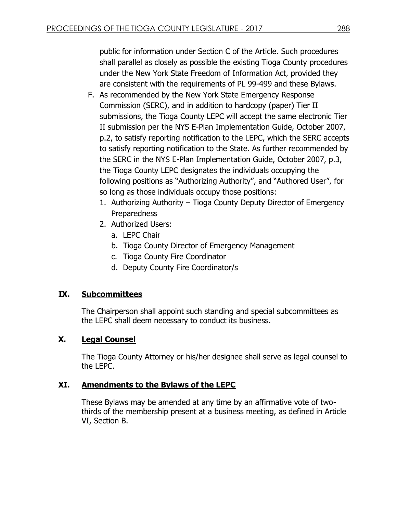public for information under Section C of the Article. Such procedures shall parallel as closely as possible the existing Tioga County procedures under the New York State Freedom of Information Act, provided they are consistent with the requirements of PL 99-499 and these Bylaws.

- F. As recommended by the New York State Emergency Response Commission (SERC), and in addition to hardcopy (paper) Tier II submissions, the Tioga County LEPC will accept the same electronic Tier II submission per the NYS E-Plan Implementation Guide, October 2007, p.2, to satisfy reporting notification to the LEPC, which the SERC accepts to satisfy reporting notification to the State. As further recommended by the SERC in the NYS E-Plan Implementation Guide, October 2007, p.3, the Tioga County LEPC designates the individuals occupying the following positions as "Authorizing Authority", and "Authored User", for so long as those individuals occupy those positions:
	- 1. Authorizing Authority Tioga County Deputy Director of Emergency **Preparedness**
	- 2. Authorized Users:
		- a. LEPC Chair
		- b. Tioga County Director of Emergency Management
		- c. Tioga County Fire Coordinator
		- d. Deputy County Fire Coordinator/s

## **IX. Subcommittees**

The Chairperson shall appoint such standing and special subcommittees as the LEPC shall deem necessary to conduct its business.

## **X. Legal Counsel**

The Tioga County Attorney or his/her designee shall serve as legal counsel to the LEPC.

## **XI. Amendments to the Bylaws of the LEPC**

These Bylaws may be amended at any time by an affirmative vote of twothirds of the membership present at a business meeting, as defined in Article VI, Section B.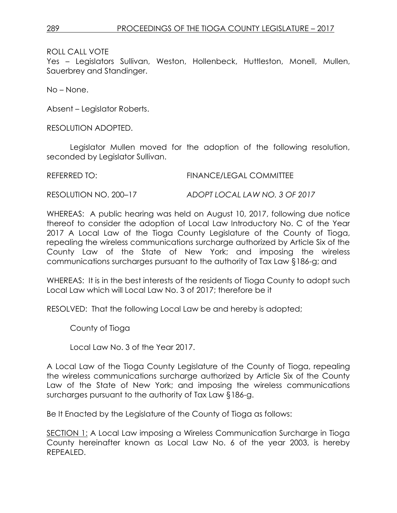Yes – Legislators Sullivan, Weston, Hollenbeck, Huttleston, Monell, Mullen, Sauerbrey and Standinger.

No – None.

Absent – Legislator Roberts.

RESOLUTION ADOPTED.

Legislator Mullen moved for the adoption of the following resolution, seconded by Legislator Sullivan.

REFERRED TO: FINANCE/LEGAL COMMITTEE

RESOLUTION NO. 200–17 *ADOPT LOCAL LAW NO. 3 OF 2017*

WHEREAS: A public hearing was held on August 10, 2017, following due notice thereof to consider the adoption of Local Law Introductory No. C of the Year 2017 A Local Law of the Tioga County Legislature of the County of Tioga, repealing the wireless communications surcharge authorized by Article Six of the County Law of the State of New York; and imposing the wireless communications surcharges pursuant to the authority of Tax Law §186-g; and

WHEREAS: It is in the best interests of the residents of Tioga County to adopt such Local Law which will Local Law No. 3 of 2017; therefore be it

RESOLVED: That the following Local Law be and hereby is adopted;

County of Tioga

Local Law No. 3 of the Year 2017.

A Local Law of the Tioga County Legislature of the County of Tioga, repealing the wireless communications surcharge authorized by Article Six of the County Law of the State of New York; and imposing the wireless communications surcharges pursuant to the authority of Tax Law §186-g.

Be It Enacted by the Legislature of the County of Tioga as follows:

SECTION 1: A Local Law imposing a Wireless Communication Surcharge in Tioga County hereinafter known as Local Law No. 6 of the year 2003, is hereby REPEALED.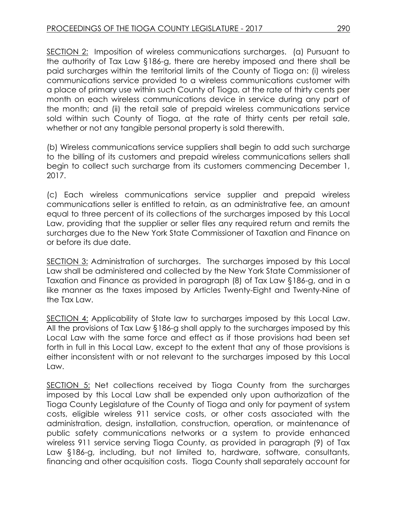SECTION 2: Imposition of wireless communications surcharges. (a) Pursuant to the authority of Tax Law §186-g, there are hereby imposed and there shall be paid surcharges within the territorial limits of the County of Tioga on: (i) wireless communications service provided to a wireless communications customer with a place of primary use within such County of Tioga, at the rate of thirty cents per month on each wireless communications device in service during any part of the month; and (ii) the retail sale of prepaid wireless communications service sold within such County of Tioga, at the rate of thirty cents per retail sale, whether or not any tangible personal property is sold therewith.

(b) Wireless communications service suppliers shall begin to add such surcharge to the billing of its customers and prepaid wireless communications sellers shall begin to collect such surcharge from its customers commencing December 1, 2017.

(c) Each wireless communications service supplier and prepaid wireless communications seller is entitled to retain, as an administrative fee, an amount equal to three percent of its collections of the surcharges imposed by this Local Law, providing that the supplier or seller files any required return and remits the surcharges due to the New York State Commissioner of Taxation and Finance on or before its due date.

SECTION 3: Administration of surcharges. The surcharges imposed by this Local Law shall be administered and collected by the New York State Commissioner of Taxation and Finance as provided in paragraph (8) of Tax Law §186-g, and in a like manner as the taxes imposed by Articles Twenty-Eight and Twenty-Nine of the Tax Law.

SECTION 4: Applicability of State law to surcharges imposed by this Local Law. All the provisions of Tax Law §186-g shall apply to the surcharges imposed by this Local Law with the same force and effect as if those provisions had been set forth in full in this Local Law, except to the extent that any of those provisions is either inconsistent with or not relevant to the surcharges imposed by this Local Law.

SECTION 5: Net collections received by Tioga County from the surcharges imposed by this Local Law shall be expended only upon authorization of the Tioga County Legislature of the County of Tioga and only for payment of system costs, eligible wireless 911 service costs, or other costs associated with the administration, design, installation, construction, operation, or maintenance of public safety communications networks or a system to provide enhanced wireless 911 service serving Tioga County, as provided in paragraph (9) of Tax Law §186-g, including, but not limited to, hardware, software, consultants, financing and other acquisition costs. Tioga County shall separately account for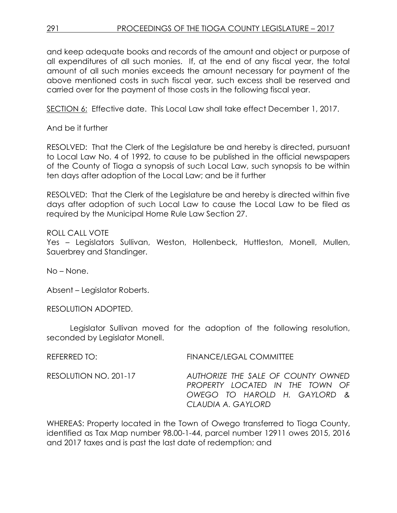and keep adequate books and records of the amount and object or purpose of all expenditures of all such monies. If, at the end of any fiscal year, the total amount of all such monies exceeds the amount necessary for payment of the above mentioned costs in such fiscal year, such excess shall be reserved and carried over for the payment of those costs in the following fiscal year.

SECTION 6: Effective date. This Local Law shall take effect December 1, 2017.

And be it further

RESOLVED: That the Clerk of the Legislature be and hereby is directed, pursuant to Local Law No. 4 of 1992, to cause to be published in the official newspapers of the County of Tioga a synopsis of such Local Law, such synopsis to be within ten days after adoption of the Local Law; and be it further

RESOLVED: That the Clerk of the Legislature be and hereby is directed within five days after adoption of such Local Law to cause the Local Law to be filed as required by the Municipal Home Rule Law Section 27.

ROLL CALL VOTE

Yes – Legislators Sullivan, Weston, Hollenbeck, Huttleston, Monell, Mullen, Sauerbrey and Standinger.

No – None.

Absent – Legislator Roberts.

RESOLUTION ADOPTED.

Legislator Sullivan moved for the adoption of the following resolution, seconded by Legislator Monell.

REFERRED TO: FINANCE/LEGAL COMMITTEE

RESOLUTION NO. 201-17 *AUTHORIZE THE SALE OF COUNTY OWNED PROPERTY LOCATED IN THE TOWN OF OWEGO TO HAROLD H. GAYLORD & CLAUDIA A. GAYLORD*

WHEREAS: Property located in the Town of Owego transferred to Tioga County, identified as Tax Map number 98.00-1-44, parcel number 12911 owes 2015, 2016 and 2017 taxes and is past the last date of redemption; and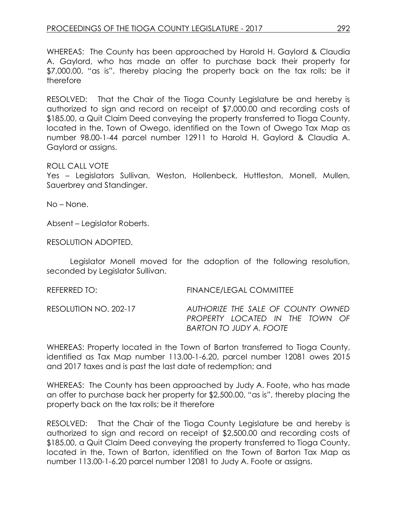WHEREAS: The County has been approached by Harold H. Gaylord & Claudia A. Gaylord, who has made an offer to purchase back their property for \$7,000.00, "as is", thereby placing the property back on the tax rolls; be it therefore

RESOLVED: That the Chair of the Tioga County Legislature be and hereby is authorized to sign and record on receipt of \$7,000.00 and recording costs of \$185.00, a Quit Claim Deed conveying the property transferred to Tioga County, located in the, Town of Owego, identified on the Town of Owego Tax Map as number 98.00-1-44 parcel number 12911 to Harold H. Gaylord & Claudia A. Gaylord or assigns.

#### ROLL CALL VOTE

Yes – Legislators Sullivan, Weston, Hollenbeck, Huttleston, Monell, Mullen, Sauerbrey and Standinger.

No – None.

Absent – Legislator Roberts.

RESOLUTION ADOPTED.

Legislator Monell moved for the adoption of the following resolution, seconded by Legislator Sullivan.

| REFERRED TO:          | FINANCE/LEGAL COMMITTEE                                                                                 |
|-----------------------|---------------------------------------------------------------------------------------------------------|
| RESOLUTION NO. 202-17 | AUTHORIZE THE SALE OF COUNTY OWNED<br>PROPERTY LOCATED IN THE TOWN OF<br><b>BARTON TO JUDY A. FOOTE</b> |

WHEREAS: Property located in the Town of Barton transferred to Tioga County, identified as Tax Map number 113.00-1-6.20, parcel number 12081 owes 2015 and 2017 taxes and is past the last date of redemption; and

WHEREAS: The County has been approached by Judy A. Foote, who has made an offer to purchase back her property for \$2,500.00, "as is", thereby placing the property back on the tax rolls; be it therefore

RESOLVED: That the Chair of the Tioga County Legislature be and hereby is authorized to sign and record on receipt of \$2,500.00 and recording costs of \$185.00, a Quit Claim Deed conveying the property transferred to Tioga County, located in the, Town of Barton, identified on the Town of Barton Tax Map as number 113.00-1-6.20 parcel number 12081 to Judy A. Foote or assigns.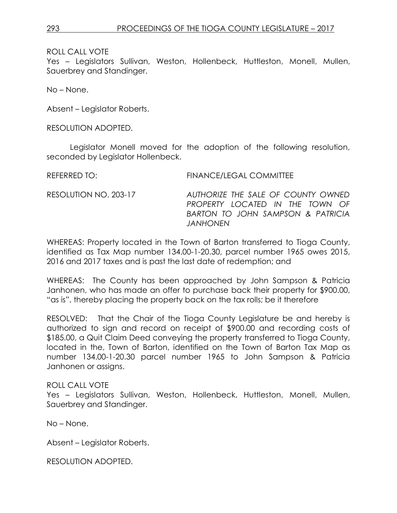Yes – Legislators Sullivan, Weston, Hollenbeck, Huttleston, Monell, Mullen, Sauerbrey and Standinger.

No – None.

Absent – Legislator Roberts.

RESOLUTION ADOPTED.

Legislator Monell moved for the adoption of the following resolution, seconded by Legislator Hollenbeck.

REFERRED TO: FINANCE/LEGAL COMMITTEE

RESOLUTION NO. 203-17 *AUTHORIZE THE SALE OF COUNTY OWNED PROPERTY LOCATED IN THE TOWN OF BARTON TO JOHN SAMPSON & PATRICIA JANHONEN*

WHEREAS: Property located in the Town of Barton transferred to Tioga County, identified as Tax Map number 134.00-1-20.30, parcel number 1965 owes 2015, 2016 and 2017 taxes and is past the last date of redemption; and

WHEREAS: The County has been approached by John Sampson & Patricia Janhonen, who has made an offer to purchase back their property for \$900.00, "as is", thereby placing the property back on the tax rolls; be it therefore

RESOLVED: That the Chair of the Tioga County Legislature be and hereby is authorized to sign and record on receipt of \$900.00 and recording costs of \$185.00, a Quit Claim Deed conveying the property transferred to Tioga County, located in the, Town of Barton, identified on the Town of Barton Tax Map as number 134.00-1-20.30 parcel number 1965 to John Sampson & Patricia Janhonen or assigns.

#### ROLL CALL VOTE

Yes – Legislators Sullivan, Weston, Hollenbeck, Huttleston, Monell, Mullen, Sauerbrey and Standinger.

No – None.

Absent – Legislator Roberts.

RESOLUTION ADOPTED.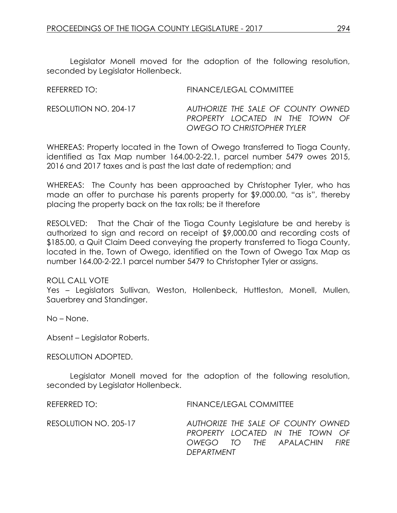Legislator Monell moved for the adoption of the following resolution, seconded by Legislator Hollenbeck.

REFERRED TO: FINANCE/LEGAL COMMITTEE

RESOLUTION NO. 204-17 *AUTHORIZE THE SALE OF COUNTY OWNED PROPERTY LOCATED IN THE TOWN OF OWEGO TO CHRISTOPHER TYLER*

WHEREAS: Property located in the Town of Owego transferred to Tioga County, identified as Tax Map number 164.00-2-22.1, parcel number 5479 owes 2015, 2016 and 2017 taxes and is past the last date of redemption; and

WHEREAS: The County has been approached by Christopher Tyler, who has made an offer to purchase his parents property for \$9,000.00, "as is", thereby placing the property back on the tax rolls; be it therefore

RESOLVED: That the Chair of the Tioga County Legislature be and hereby is authorized to sign and record on receipt of \$9,000.00 and recording costs of \$185.00, a Quit Claim Deed conveying the property transferred to Tioga County, located in the, Town of Owego, identified on the Town of Owego Tax Map as number 164.00-2-22.1 parcel number 5479 to Christopher Tyler or assigns.

ROLL CALL VOTE

Yes – Legislators Sullivan, Weston, Hollenbeck, Huttleston, Monell, Mullen, Sauerbrey and Standinger.

No – None.

Absent – Legislator Roberts.

RESOLUTION ADOPTED.

Legislator Monell moved for the adoption of the following resolution, seconded by Legislator Hollenbeck.

REFERRED TO: FINANCE/LEGAL COMMITTEE

RESOLUTION NO. 205-17 *AUTHORIZE THE SALE OF COUNTY OWNED PROPERTY LOCATED IN THE TOWN OF OWEGO TO THE APALACHIN FIRE DEPARTMENT*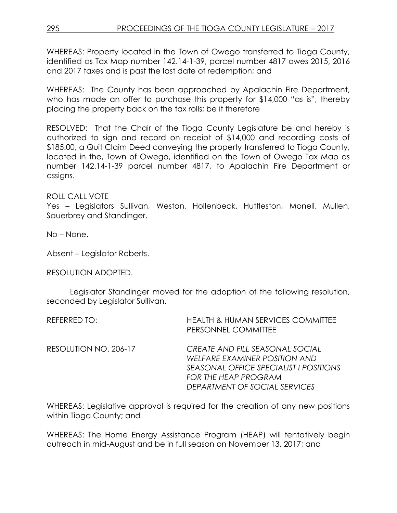WHEREAS: Property located in the Town of Owego transferred to Tioga County, identified as Tax Map number 142.14-1-39, parcel number 4817 owes 2015, 2016 and 2017 taxes and is past the last date of redemption; and

WHEREAS: The County has been approached by Apalachin Fire Department, who has made an offer to purchase this property for \$14,000 "as is", thereby placing the property back on the tax rolls; be it therefore

RESOLVED: That the Chair of the Tioga County Legislature be and hereby is authorized to sign and record on receipt of \$14,000 and recording costs of \$185.00, a Quit Claim Deed conveying the property transferred to Tioga County, located in the, Town of Owego, identified on the Town of Owego Tax Map as number 142.14-1-39 parcel number 4817, to Apalachin Fire Department or assigns.

### ROLL CALL VOTE

Yes – Legislators Sullivan, Weston, Hollenbeck, Huttleston, Monell, Mullen, Sauerbrey and Standinger.

No – None.

Absent – Legislator Roberts.

RESOLUTION ADOPTED.

Legislator Standinger moved for the adoption of the following resolution, seconded by Legislator Sullivan.

| REFERRED TO:          | <b>HEALTH &amp; HUMAN SERVICES COMMITTEE</b><br>PERSONNEL COMMITTEE                                                                                                        |
|-----------------------|----------------------------------------------------------------------------------------------------------------------------------------------------------------------------|
| RESOLUTION NO. 206-17 | CREATE AND FILL SEASONAL SOCIAL<br>WELFARE EXAMINER POSITION AND<br>SEASONAL OFFICE SPECIALIST I POSITIONS<br><b>FOR THE HEAP PROGRAM</b><br>DEPARTMENT OF SOCIAL SERVICES |

WHEREAS: Legislative approval is required for the creation of any new positions within Tioga County; and

WHEREAS: The Home Energy Assistance Program (HEAP) will tentatively begin outreach in mid-August and be in full season on November 13, 2017; and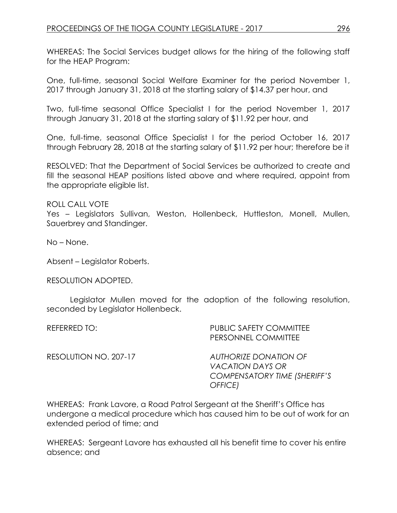WHEREAS: The Social Services budget allows for the hiring of the following staff for the HEAP Program:

One, full-time, seasonal Social Welfare Examiner for the period November 1, 2017 through January 31, 2018 at the starting salary of \$14.37 per hour, and

Two, full-time seasonal Office Specialist I for the period November 1, 2017 through January 31, 2018 at the starting salary of \$11.92 per hour, and

One, full-time, seasonal Office Specialist I for the period October 16, 2017 through February 28, 2018 at the starting salary of \$11.92 per hour; therefore be it

RESOLVED: That the Department of Social Services be authorized to create and fill the seasonal HEAP positions listed above and where required, appoint from the appropriate eligible list.

ROLL CALL VOTE Yes – Legislators Sullivan, Weston, Hollenbeck, Huttleston, Monell, Mullen, Sauerbrey and Standinger.

No – None.

Absent – Legislator Roberts.

RESOLUTION ADOPTED.

Legislator Mullen moved for the adoption of the following resolution, seconded by Legislator Hollenbeck.

| REFERRED TO:          | <b>PUBLIC SAFETY COMMITTEE</b><br>PERSONNEL COMMITTEE                                              |
|-----------------------|----------------------------------------------------------------------------------------------------|
| RESOLUTION NO. 207-17 | <b>AUTHORIZE DONATION OF</b><br><b>VACATION DAYS OR</b><br>COMPENSATORY TIME (SHERIFF'S<br>OFFICE) |

WHEREAS: Frank Lavore, a Road Patrol Sergeant at the Sheriff's Office has undergone a medical procedure which has caused him to be out of work for an extended period of time; and

WHEREAS: Sergeant Lavore has exhausted all his benefit time to cover his entire absence; and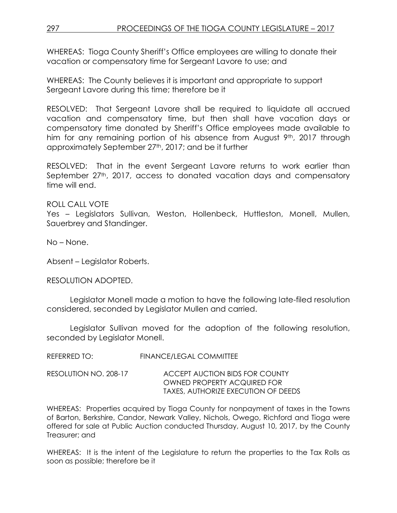WHEREAS: Tioga County Sheriff's Office employees are willing to donate their vacation or compensatory time for Sergeant Lavore to use; and

WHEREAS: The County believes it is important and appropriate to support Sergeant Lavore during this time; therefore be it

RESOLVED: That Sergeant Lavore shall be required to liquidate all accrued vacation and compensatory time, but then shall have vacation days or compensatory time donated by Sheriff's Office employees made available to him for any remaining portion of his absence from August  $9<sup>th</sup>$ , 2017 through approximately September 27<sup>th</sup>, 2017; and be it further

RESOLVED: That in the event Sergeant Lavore returns to work earlier than September 27<sup>th</sup>, 2017, access to donated vacation days and compensatory time will end.

### ROLL CALL VOTE

Yes – Legislators Sullivan, Weston, Hollenbeck, Huttleston, Monell, Mullen, Sauerbrey and Standinger.

No – None.

Absent – Legislator Roberts.

#### RESOLUTION ADOPTED.

Legislator Monell made a motion to have the following late-filed resolution considered, seconded by Legislator Mullen and carried.

Legislator Sullivan moved for the adoption of the following resolution, seconded by Legislator Monell.

REFERRED TO: FINANCE/LEGAL COMMITTEE

RESOLUTION NO. 208-17 ACCEPT AUCTION BIDS FOR COUNTY OWNED PROPERTY ACQUIRED FOR TAXES, AUTHORIZE EXECUTION OF DEEDS

WHEREAS: Properties acquired by Tioga County for nonpayment of taxes in the Towns of Barton, Berkshire, Candor, Newark Valley, Nichols, Owego, Richford and Tioga were offered for sale at Public Auction conducted Thursday, August 10, 2017, by the County Treasurer; and

WHEREAS: It is the intent of the Legislature to return the properties to the Tax Rolls as soon as possible; therefore be it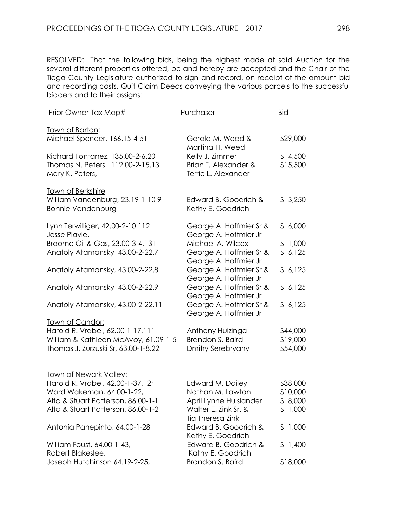RESOLVED: That the following bids, being the highest made at said Auction for the several different properties offered, be and hereby are accepted and the Chair of the Tioga County Legislature authorized to sign and record, on receipt of the amount bid and recording costs, Quit Claim Deeds conveying the various parcels to the successful bidders and to their assigns:

| Prior Owner-Tax Map#                                              | Purchaser                                        | <b>Bid</b> |
|-------------------------------------------------------------------|--------------------------------------------------|------------|
| <u>Town of Barton:</u>                                            |                                                  |            |
| Michael Spencer, 166.15-4-51                                      | Gerald M. Weed &<br>Martina H. Weed              | \$29,000   |
| Richard Fontanez, 135.00-2-6.20                                   | Kelly J. Zimmer                                  | \$4,500    |
| 112.00-2-15.13<br>Thomas N. Peters                                | Brian T. Alexander &                             | \$15,500   |
| Mary K. Peters,                                                   | Terrie L. Alexander                              |            |
| Town of Berkshire                                                 |                                                  |            |
| William Vandenburg, 23.19-1-109                                   | Edward B. Goodrich &                             | \$3,250    |
| <b>Bonnie Vandenburg</b>                                          | Kathy E. Goodrich                                |            |
| Lynn Terwilliger, 42.00-2-10.112                                  | George A. Hoffmier Sr &                          | \$6,000    |
| Jesse Playle,                                                     | George A. Hoffmier Jr                            |            |
| Broome Oil & Gas, 23.00-3-4.131                                   | Michael A. Wilcox                                | \$1,000    |
| Anatoly Atamansky, 43.00-2-22.7                                   | George A. Hoffmier Sr &                          | \$6,125    |
| Anatoly Atamansky, 43.00-2-22.8                                   | George A. Hoffmier Jr<br>George A. Hoffmier Sr & | \$6,125    |
|                                                                   | George A. Hoffmier Jr                            |            |
| Anatoly Atamansky, 43.00-2-22.9                                   | George A. Hoffmier Sr &                          | \$6,125    |
|                                                                   | George A. Hoffmier Jr                            |            |
| Anatoly Atamansky, 43.00-2-22.11                                  | George A. Hoffmier Sr &<br>George A. Hoffmier Jr | \$6,125    |
| <u>Town of Candor:</u>                                            |                                                  |            |
| Harold R. Vrabel, 62.00-1-17.111                                  | Anthony Huizinga                                 | \$44,000   |
| William & Kathleen McAvoy, 61.09-1-5                              | Brandon S. Baird                                 | \$19,000   |
| Thomas J. Zurzuski Sr, 63.00-1-8.22                               | <b>Dmitry Serebryany</b>                         | \$54,000   |
|                                                                   |                                                  |            |
| <b>Town of Newark Valley:</b><br>Harold R. Vrabel, 42.00-1-37.12; | Edward M. Dailey                                 | \$38,000   |
| Ward Wakeman, 64.00-1-22,                                         | Nathan M. Lawton                                 | \$10,000   |
| Alta & Stuart Patterson, 86.00-1-1                                | April Lynne Hulslander                           | \$8,000    |
| Alta & Stuart Patterson, 86.00-1-2                                | Walter E. Zink Sr. &                             | \$1,000    |
|                                                                   | Tia Theresa Zink                                 |            |
| Antonia Panepinto, 64.00-1-28                                     | Edward B. Goodrich &                             | \$1,000    |
|                                                                   | Kathy E. Goodrich                                |            |
| William Foust, 64.00-1-43,                                        | Edward B. Goodrich &                             | \$1,400    |
| Robert Blakeslee,<br>Joseph Hutchinson 64.19-2-25,                | Kathy E. Goodrich<br>Brandon S. Baird            | \$18,000   |
|                                                                   |                                                  |            |